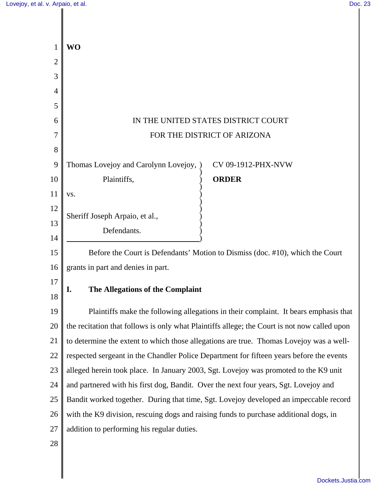| 1              | <b>WO</b>                                                                                    |
|----------------|----------------------------------------------------------------------------------------------|
| $\overline{2}$ |                                                                                              |
| 3              |                                                                                              |
| 4              |                                                                                              |
| 5              |                                                                                              |
| 6              | IN THE UNITED STATES DISTRICT COURT                                                          |
| 7              | FOR THE DISTRICT OF ARIZONA                                                                  |
| 8              |                                                                                              |
| 9              | Thomas Lovejoy and Carolynn Lovejoy,<br>CV 09-1912-PHX-NVW                                   |
| 10             | Plaintiffs,<br><b>ORDER</b>                                                                  |
| 11             | VS.                                                                                          |
| 12             | Sheriff Joseph Arpaio, et al.,                                                               |
| 13             | Defendants.                                                                                  |
| 14             |                                                                                              |
| 15             | Before the Court is Defendants' Motion to Dismiss (doc. #10), which the Court                |
| 16             | grants in part and denies in part.                                                           |
| 17             | The Allegations of the Complaint<br>I.                                                       |
| 18             |                                                                                              |
| 19             | Plaintiffs make the following allegations in their complaint. It bears emphasis that         |
| 20             | the recitation that follows is only what Plaintiffs allege; the Court is not now called upon |
| 21             | to determine the extent to which those allegations are true. Thomas Lovejoy was a well-      |
| 22             | respected sergeant in the Chandler Police Department for fifteen years before the events     |
| 23             | alleged herein took place. In January 2003, Sgt. Lovejoy was promoted to the K9 unit         |
| 24             | and partnered with his first dog, Bandit. Over the next four years, Sgt. Lovejoy and         |
| 25             | Bandit worked together. During that time, Sgt. Lovejoy developed an impeccable record        |
| 26             | with the K9 division, rescuing dogs and raising funds to purchase additional dogs, in        |
| 27             | addition to performing his regular duties.                                                   |
| 28             |                                                                                              |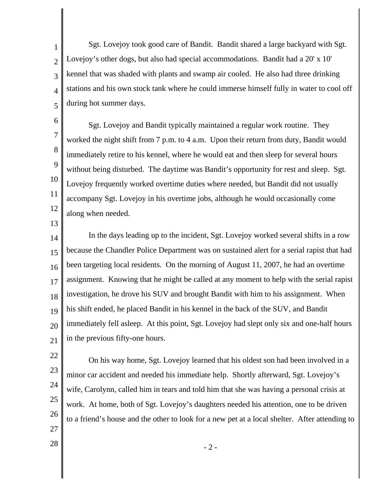1 2 3 4 5 Sgt. Lovejoy took good care of Bandit. Bandit shared a large backyard with Sgt. Lovejoy's other dogs, but also had special accommodations. Bandit had a 20' x 10' kennel that was shaded with plants and swamp air cooled. He also had three drinking stations and his own stock tank where he could immerse himself fully in water to cool off during hot summer days.

6 7 8 9 10 11 12 Sgt. Lovejoy and Bandit typically maintained a regular work routine. They worked the night shift from 7 p.m. to 4 a.m. Upon their return from duty, Bandit would immediately retire to his kennel, where he would eat and then sleep for several hours without being disturbed. The daytime was Bandit's opportunity for rest and sleep. Sgt. Lovejoy frequently worked overtime duties where needed, but Bandit did not usually accompany Sgt. Lovejoy in his overtime jobs, although he would occasionally come along when needed.

13

14 15 16 17 18 19 20 21 In the days leading up to the incident, Sgt. Lovejoy worked several shifts in a row because the Chandler Police Department was on sustained alert for a serial rapist that had been targeting local residents. On the morning of August 11, 2007, he had an overtime assignment. Knowing that he might be called at any moment to help with the serial rapist investigation, he drove his SUV and brought Bandit with him to his assignment. When his shift ended, he placed Bandit in his kennel in the back of the SUV, and Bandit immediately fell asleep. At this point, Sgt. Lovejoy had slept only six and one-half hours in the previous fifty-one hours.

- 22
- 23
- 24
- 25 26

On his way home, Sgt. Lovejoy learned that his oldest son had been involved in a minor car accident and needed his immediate help. Shortly afterward, Sgt. Lovejoy's wife, Carolynn, called him in tears and told him that she was having a personal crisis at work. At home, both of Sgt. Lovejoy's daughters needed his attention, one to be driven to a friend's house and the other to look for a new pet at a local shelter. After attending to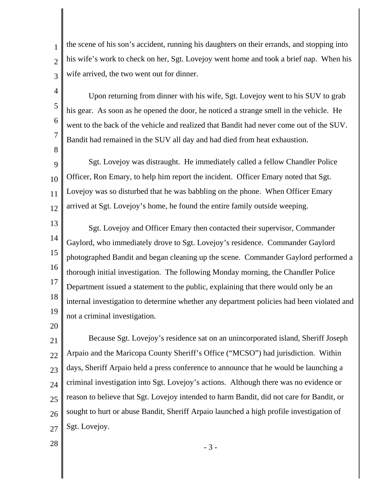the scene of his son's accident, running his daughters on their errands, and stopping into his wife's work to check on her, Sgt. Lovejoy went home and took a brief nap. When his wife arrived, the two went out for dinner.

Upon returning from dinner with his wife, Sgt. Lovejoy went to his SUV to grab his gear. As soon as he opened the door, he noticed a strange smell in the vehicle. He went to the back of the vehicle and realized that Bandit had never come out of the SUV. Bandit had remained in the SUV all day and had died from heat exhaustion.

9 10 11 12 Sgt. Lovejoy was distraught. He immediately called a fellow Chandler Police Officer, Ron Emary, to help him report the incident. Officer Emary noted that Sgt. Lovejoy was so disturbed that he was babbling on the phone. When Officer Emary arrived at Sgt. Lovejoy's home, he found the entire family outside weeping.

13 14 15 16 17 18 19 Sgt. Lovejoy and Officer Emary then contacted their supervisor, Commander Gaylord, who immediately drove to Sgt. Lovejoy's residence. Commander Gaylord photographed Bandit and began cleaning up the scene. Commander Gaylord performed a thorough initial investigation. The following Monday morning, the Chandler Police Department issued a statement to the public, explaining that there would only be an internal investigation to determine whether any department policies had been violated and not a criminal investigation.

20

1

2

3

4

5

6

7

8

21 22 23 24 25 26 27 Because Sgt. Lovejoy's residence sat on an unincorporated island, Sheriff Joseph Arpaio and the Maricopa County Sheriff's Office ("MCSO") had jurisdiction. Within days, Sheriff Arpaio held a press conference to announce that he would be launching a criminal investigation into Sgt. Lovejoy's actions. Although there was no evidence or reason to believe that Sgt. Lovejoy intended to harm Bandit, did not care for Bandit, or sought to hurt or abuse Bandit, Sheriff Arpaio launched a high profile investigation of Sgt. Lovejoy.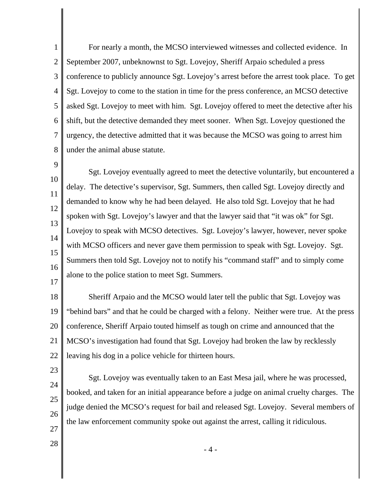1 2 3 4 5 6 7 8 For nearly a month, the MCSO interviewed witnesses and collected evidence. In September 2007, unbeknownst to Sgt. Lovejoy, Sheriff Arpaio scheduled a press conference to publicly announce Sgt. Lovejoy's arrest before the arrest took place. To get Sgt. Lovejoy to come to the station in time for the press conference, an MCSO detective asked Sgt. Lovejoy to meet with him. Sgt. Lovejoy offered to meet the detective after his shift, but the detective demanded they meet sooner. When Sgt. Lovejoy questioned the urgency, the detective admitted that it was because the MCSO was going to arrest him under the animal abuse statute.

9 10 11 12 13 14 15 16 17 Sgt. Lovejoy eventually agreed to meet the detective voluntarily, but encountered a delay. The detective's supervisor, Sgt. Summers, then called Sgt. Lovejoy directly and demanded to know why he had been delayed. He also told Sgt. Lovejoy that he had spoken with Sgt. Lovejoy's lawyer and that the lawyer said that "it was ok" for Sgt. Lovejoy to speak with MCSO detectives. Sgt. Lovejoy's lawyer, however, never spoke with MCSO officers and never gave them permission to speak with Sgt. Lovejoy. Sgt. Summers then told Sgt. Lovejoy not to notify his "command staff" and to simply come alone to the police station to meet Sgt. Summers.

18 19 20 21 22 Sheriff Arpaio and the MCSO would later tell the public that Sgt. Lovejoy was "behind bars" and that he could be charged with a felony. Neither were true. At the press conference, Sheriff Arpaio touted himself as tough on crime and announced that the MCSO's investigation had found that Sgt. Lovejoy had broken the law by recklessly leaving his dog in a police vehicle for thirteen hours.

- 23
- 24
- 25

26

Sgt. Lovejoy was eventually taken to an East Mesa jail, where he was processed, booked, and taken for an initial appearance before a judge on animal cruelty charges. The judge denied the MCSO's request for bail and released Sgt. Lovejoy. Several members of the law enforcement community spoke out against the arrest, calling it ridiculous.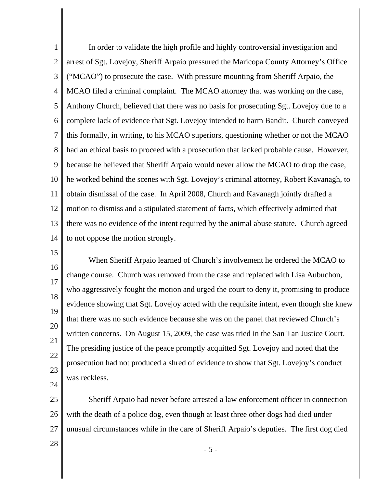1 2 3 4 5 6 7 8 9 10 11 12 13 14 In order to validate the high profile and highly controversial investigation and arrest of Sgt. Lovejoy, Sheriff Arpaio pressured the Maricopa County Attorney's Office ("MCAO") to prosecute the case. With pressure mounting from Sheriff Arpaio, the MCAO filed a criminal complaint. The MCAO attorney that was working on the case, Anthony Church, believed that there was no basis for prosecuting Sgt. Lovejoy due to a complete lack of evidence that Sgt. Lovejoy intended to harm Bandit. Church conveyed this formally, in writing, to his MCAO superiors, questioning whether or not the MCAO had an ethical basis to proceed with a prosecution that lacked probable cause. However, because he believed that Sheriff Arpaio would never allow the MCAO to drop the case, he worked behind the scenes with Sgt. Lovejoy's criminal attorney, Robert Kavanagh, to obtain dismissal of the case. In April 2008, Church and Kavanagh jointly drafted a motion to dismiss and a stipulated statement of facts, which effectively admitted that there was no evidence of the intent required by the animal abuse statute. Church agreed to not oppose the motion strongly.

15

16 17 18 19 20 21 22 23 24 When Sheriff Arpaio learned of Church's involvement he ordered the MCAO to change course. Church was removed from the case and replaced with Lisa Aubuchon, who aggressively fought the motion and urged the court to deny it, promising to produce evidence showing that Sgt. Lovejoy acted with the requisite intent, even though she knew that there was no such evidence because she was on the panel that reviewed Church's written concerns. On August 15, 2009, the case was tried in the San Tan Justice Court. The presiding justice of the peace promptly acquitted Sgt. Lovejoy and noted that the prosecution had not produced a shred of evidence to show that Sgt. Lovejoy's conduct was reckless.

25 26 27 Sheriff Arpaio had never before arrested a law enforcement officer in connection with the death of a police dog, even though at least three other dogs had died under unusual circumstances while in the care of Sheriff Arpaio's deputies. The first dog died

28

- 5 -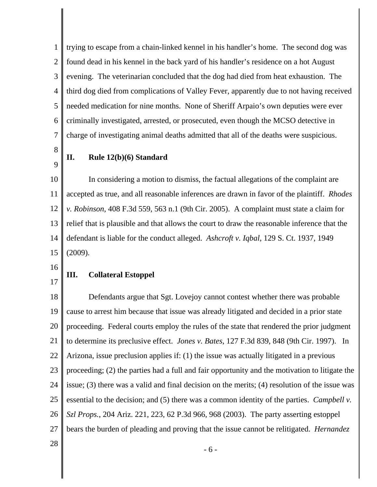1 2 3 4 5 6 7 trying to escape from a chain-linked kennel in his handler's home. The second dog was found dead in his kennel in the back yard of his handler's residence on a hot August evening. The veterinarian concluded that the dog had died from heat exhaustion. The third dog died from complications of Valley Fever, apparently due to not having received needed medication for nine months. None of Sheriff Arpaio's own deputies were ever criminally investigated, arrested, or prosecuted, even though the MCSO detective in charge of investigating animal deaths admitted that all of the deaths were suspicious.

8

9

### **II. Rule 12(b)(6) Standard**

10 11 12 13 14 15 In considering a motion to dismiss, the factual allegations of the complaint are accepted as true, and all reasonable inferences are drawn in favor of the plaintiff. *Rhodes v. Robinson*, 408 F.3d 559, 563 n.1 (9th Cir. 2005). A complaint must state a claim for relief that is plausible and that allows the court to draw the reasonable inference that the defendant is liable for the conduct alleged. *Ashcroft v. Iqbal*, 129 S. Ct. 1937, 1949 (2009).

- 16
- 17

## **III. Collateral Estoppel**

18 19 20 21 22 23 24 25 26 27 Defendants argue that Sgt. Lovejoy cannot contest whether there was probable cause to arrest him because that issue was already litigated and decided in a prior state proceeding. Federal courts employ the rules of the state that rendered the prior judgment to determine its preclusive effect. *Jones v. Bates*, 127 F.3d 839, 848 (9th Cir. 1997). In Arizona, issue preclusion applies if: (1) the issue was actually litigated in a previous proceeding; (2) the parties had a full and fair opportunity and the motivation to litigate the issue; (3) there was a valid and final decision on the merits; (4) resolution of the issue was essential to the decision; and (5) there was a common identity of the parties. *Campbell v. Szl Props.*, 204 Ariz. 221, 223, 62 P.3d 966, 968 (2003). The party asserting estoppel bears the burden of pleading and proving that the issue cannot be relitigated. *Hernandez*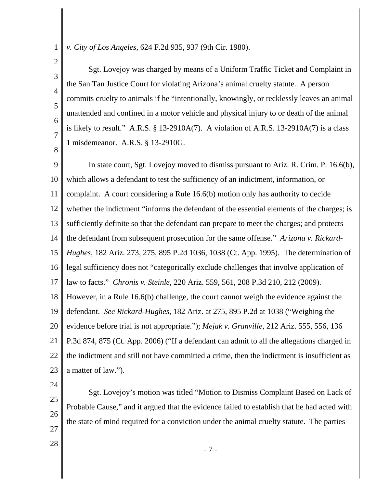*v. City of Los Angeles,* 624 F.2d 935, 937 (9th Cir. 1980).

3 4 5 6 7 8 Sgt. Lovejoy was charged by means of a Uniform Traffic Ticket and Complaint in the San Tan Justice Court for violating Arizona's animal cruelty statute. A person commits cruelty to animals if he "intentionally, knowingly, or recklessly leaves an animal unattended and confined in a motor vehicle and physical injury to or death of the animal is likely to result." A.R.S.  $\S$  13-2910A(7). A violation of A.R.S. 13-2910A(7) is a class 1 misdemeanor. A.R.S. § 13-2910G.

9 10 11 12 13 14 15 16 17 18 19 20 21 22 23 In state court, Sgt. Lovejoy moved to dismiss pursuant to Ariz. R. Crim. P. 16.6(b), which allows a defendant to test the sufficiency of an indictment, information, or complaint. A court considering a Rule 16.6(b) motion only has authority to decide whether the indictment "informs the defendant of the essential elements of the charges; is sufficiently definite so that the defendant can prepare to meet the charges; and protects the defendant from subsequent prosecution for the same offense." *Arizona v. Rickard-Hughes*, 182 Ariz. 273, 275, 895 P.2d 1036, 1038 (Ct. App. 1995). The determination of legal sufficiency does not "categorically exclude challenges that involve application of law to facts." *Chronis v. Steinle*, 220 Ariz. 559, 561, 208 P.3d 210, 212 (2009). However, in a Rule 16.6(b) challenge, the court cannot weigh the evidence against the defendant. *See Rickard-Hughes,* 182 Ariz. at 275, 895 P.2d at 1038 ("Weighing the evidence before trial is not appropriate."); *Mejak v. Granville*, 212 Ariz. 555, 556, 136 P.3d 874, 875 (Ct. App. 2006) ("If a defendant can admit to all the allegations charged in the indictment and still not have committed a crime, then the indictment is insufficient as a matter of law.").

24

1

2

25 26

Sgt. Lovejoy's motion was titled "Motion to Dismiss Complaint Based on Lack of Probable Cause," and it argued that the evidence failed to establish that he had acted with the state of mind required for a conviction under the animal cruelty statute. The parties

28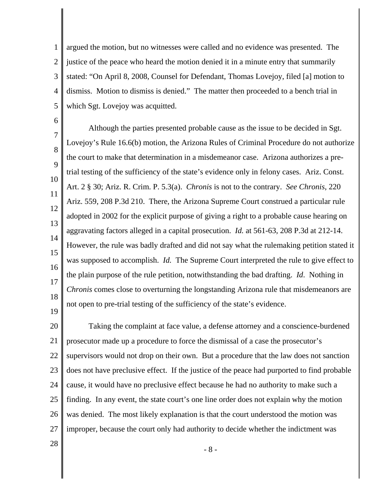1 2 3 4 5 argued the motion, but no witnesses were called and no evidence was presented. The justice of the peace who heard the motion denied it in a minute entry that summarily stated: "On April 8, 2008, Counsel for Defendant, Thomas Lovejoy, filed [a] motion to dismiss. Motion to dismiss is denied." The matter then proceeded to a bench trial in which Sgt. Lovejoy was acquitted.

6 7 8  $\mathbf Q$ 10 11 12 13 14 15 16 17 18 19 Although the parties presented probable cause as the issue to be decided in Sgt. Lovejoy's Rule 16.6(b) motion, the Arizona Rules of Criminal Procedure do not authorize the court to make that determination in a misdemeanor case. Arizona authorizes a pretrial testing of the sufficiency of the state's evidence only in felony cases. Ariz. Const. Art. 2 § 30; Ariz. R. Crim. P. 5.3(a). *Chronis* is not to the contrary. *See Chronis*, 220 Ariz. 559, 208 P.3d 210. There, the Arizona Supreme Court construed a particular rule adopted in 2002 for the explicit purpose of giving a right to a probable cause hearing on aggravating factors alleged in a capital prosecution. *Id.* at 561-63, 208 P.3d at 212-14. However, the rule was badly drafted and did not say what the rulemaking petition stated it was supposed to accomplish. *Id.* The Supreme Court interpreted the rule to give effect to the plain purpose of the rule petition, notwithstanding the bad drafting. *Id*. Nothing in *Chronis* comes close to overturning the longstanding Arizona rule that misdemeanors are not open to pre-trial testing of the sufficiency of the state's evidence.

20 21 22 23 24 25 26 27 Taking the complaint at face value, a defense attorney and a conscience-burdened prosecutor made up a procedure to force the dismissal of a case the prosecutor's supervisors would not drop on their own. But a procedure that the law does not sanction does not have preclusive effect. If the justice of the peace had purported to find probable cause, it would have no preclusive effect because he had no authority to make such a finding. In any event, the state court's one line order does not explain why the motion was denied. The most likely explanation is that the court understood the motion was improper, because the court only had authority to decide whether the indictment was

28

- 8 -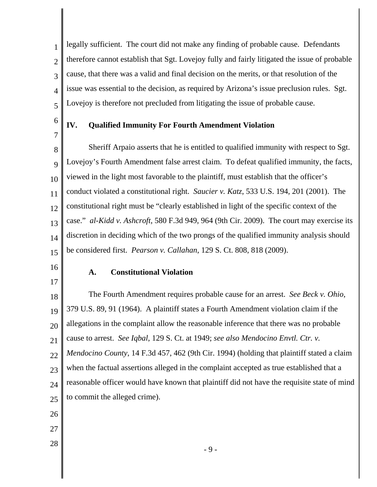3 4 5 legally sufficient. The court did not make any finding of probable cause. Defendants therefore cannot establish that Sgt. Lovejoy fully and fairly litigated the issue of probable cause, that there was a valid and final decision on the merits, or that resolution of the issue was essential to the decision, as required by Arizona's issue preclusion rules. Sgt. Lovejoy is therefore not precluded from litigating the issue of probable cause.

6 7

1

2

## **IV. Qualified Immunity For Fourth Amendment Violation**

8 9 10 11 12 13 14 15 Sheriff Arpaio asserts that he is entitled to qualified immunity with respect to Sgt. Lovejoy's Fourth Amendment false arrest claim. To defeat qualified immunity, the facts, viewed in the light most favorable to the plaintiff, must establish that the officer's conduct violated a constitutional right. *Saucier v. Katz*, 533 U.S. 194, 201 (2001). The constitutional right must be "clearly established in light of the specific context of the case." *al-Kidd v. Ashcroft*, 580 F.3d 949, 964 (9th Cir. 2009). The court may exercise its discretion in deciding which of the two prongs of the qualified immunity analysis should be considered first. *Pearson v. Callahan*, 129 S. Ct. 808, 818 (2009).

16

17

#### **A. Constitutional Violation**

18 19 20 21 22 23 24 25 The Fourth Amendment requires probable cause for an arrest. *See Beck v. Ohio*, 379 U.S. 89, 91 (1964). A plaintiff states a Fourth Amendment violation claim if the allegations in the complaint allow the reasonable inference that there was no probable cause to arrest. *See Iqbal*, 129 S. Ct. at 1949; *see also Mendocino Envtl. Ctr. v. Mendocino County*, 14 F.3d 457, 462 (9th Cir. 1994) (holding that plaintiff stated a claim when the factual assertions alleged in the complaint accepted as true established that a reasonable officer would have known that plaintiff did not have the requisite state of mind to commit the alleged crime).

- 26
- 27
- 28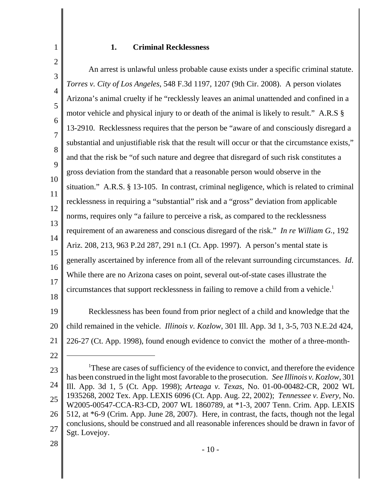## **1. Criminal Recklessness**

2 3 4 5 6 7 8 9 10 11 12 13 14 15 16 17 18 19 20 An arrest is unlawful unless probable cause exists under a specific criminal statute. *Torres v. City of Los Angeles*, 548 F.3d 1197, 1207 (9th Cir. 2008). A person violates Arizona's animal cruelty if he "recklessly leaves an animal unattended and confined in a motor vehicle and physical injury to or death of the animal is likely to result." A.R.S § 13-2910. Recklessness requires that the person be "aware of and consciously disregard a substantial and unjustifiable risk that the result will occur or that the circumstance exists," and that the risk be "of such nature and degree that disregard of such risk constitutes a gross deviation from the standard that a reasonable person would observe in the situation." A.R.S. § 13-105. In contrast, criminal negligence, which is related to criminal recklessness in requiring a "substantial" risk and a "gross" deviation from applicable norms, requires only "a failure to perceive a risk, as compared to the recklessness requirement of an awareness and conscious disregard of the risk." *In re William G.*, 192 Ariz. 208, 213, 963 P.2d 287, 291 n.1 (Ct. App. 1997). A person's mental state is generally ascertained by inference from all of the relevant surrounding circumstances. *Id*. While there are no Arizona cases on point, several out-of-state cases illustrate the circumstances that support recklessness in failing to remove a child from a vehicle.<sup>1</sup> Recklessness has been found from prior neglect of a child and knowledge that the child remained in the vehicle. *Illinois v. Kozlow*, 301 Ill. App. 3d 1, 3-5, 703 N.E.2d 424,

21 226-27 (Ct. App. 1998), found enough evidence to convict the mother of a three-month-

23 24 25 26 27 <sup>1</sup>These are cases of sufficiency of the evidence to convict, and therefore the evidence has been construed in the light most favorable to the prosecution. *See Illinois v. Kozlow*, 301 Ill. App. 3d 1, 5 (Ct. App. 1998); *Arteaga v. Texas*, No. 01-00-00482-CR, 2002 WL 1935268, 2002 Tex. App. LEXIS 6096 (Ct. App. Aug. 22, 2002); *Tennessee v. Every*, No. W2005-00547-CCA-R3-CD, 2007 WL 1860789, at \*1-3, 2007 Tenn. Crim. App. LEXIS 512, at \*6-9 (Crim. App. June 28, 2007). Here, in contrast, the facts, though not the legal conclusions, should be construed and all reasonable inferences should be drawn in favor of Sgt. Lovejoy.

28

22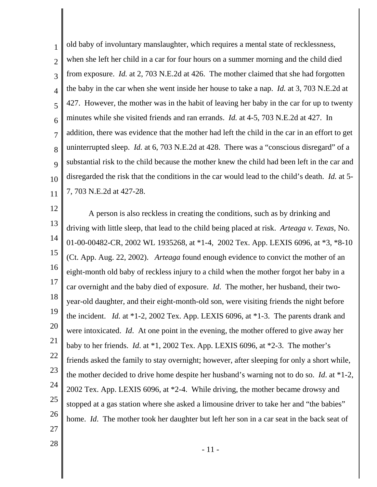1 2 3 4 5 6 7 8 9 10 11 old baby of involuntary manslaughter, which requires a mental state of recklessness, when she left her child in a car for four hours on a summer morning and the child died from exposure. *Id.* at 2, 703 N.E.2d at 426. The mother claimed that she had forgotten the baby in the car when she went inside her house to take a nap. *Id.* at 3, 703 N.E.2d at 427. However, the mother was in the habit of leaving her baby in the car for up to twenty minutes while she visited friends and ran errands. *Id.* at 4-5, 703 N.E.2d at 427. In addition, there was evidence that the mother had left the child in the car in an effort to get uninterrupted sleep. *Id.* at 6, 703 N.E.2d at 428. There was a "conscious disregard" of a substantial risk to the child because the mother knew the child had been left in the car and disregarded the risk that the conditions in the car would lead to the child's death. *Id.* at 5- 7, 703 N.E.2d at 427-28.

12

13 14 15 16 17 18 19 20 21 22 23 24 25 26 27 A person is also reckless in creating the conditions, such as by drinking and driving with little sleep, that lead to the child being placed at risk. *Arteaga v. Texas*, No. 01-00-00482-CR, 2002 WL 1935268, at \*1-4, 2002 Tex. App. LEXIS 6096, at \*3, \*8-10 (Ct. App. Aug. 22, 2002). *Arteaga* found enough evidence to convict the mother of an eight-month old baby of reckless injury to a child when the mother forgot her baby in a car overnight and the baby died of exposure. *Id*. The mother, her husband, their twoyear-old daughter, and their eight-month-old son, were visiting friends the night before the incident. *Id.* at \*1-2, 2002 Tex. App. LEXIS 6096, at \*1-3. The parents drank and were intoxicated. *Id*. At one point in the evening, the mother offered to give away her baby to her friends. *Id*. at \*1, 2002 Tex. App. LEXIS 6096, at \*2-3. The mother's friends asked the family to stay overnight; however, after sleeping for only a short while, the mother decided to drive home despite her husband's warning not to do so. *Id*. at \*1-2, 2002 Tex. App. LEXIS 6096, at \*2-4. While driving, the mother became drowsy and stopped at a gas station where she asked a limousine driver to take her and "the babies" home. *Id*. The mother took her daughter but left her son in a car seat in the back seat of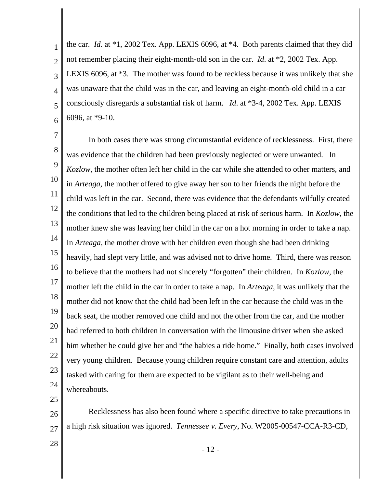1 2 3 4 5 6 the car. *Id*. at \*1, 2002 Tex. App. LEXIS 6096, at \*4. Both parents claimed that they did not remember placing their eight-month-old son in the car. *Id*. at \*2, 2002 Tex. App. LEXIS 6096, at \*3. The mother was found to be reckless because it was unlikely that she was unaware that the child was in the car, and leaving an eight-month-old child in a car consciously disregards a substantial risk of harm. *Id*. at \*3-4, 2002 Tex. App. LEXIS 6096, at \*9-10.

7 8 9 10 11 12 13 14 15 16 17 18 19 20 21 22 23 24 In both cases there was strong circumstantial evidence of recklessness. First, there was evidence that the children had been previously neglected or were unwanted. In *Kozlow*, the mother often left her child in the car while she attended to other matters, and in *Arteaga*, the mother offered to give away her son to her friends the night before the child was left in the car. Second, there was evidence that the defendants wilfully created the conditions that led to the children being placed at risk of serious harm. In *Kozlow,* the mother knew she was leaving her child in the car on a hot morning in order to take a nap. In *Arteaga*, the mother drove with her children even though she had been drinking heavily, had slept very little, and was advised not to drive home. Third, there was reason to believe that the mothers had not sincerely "forgotten" their children. In *Kozlow*, the mother left the child in the car in order to take a nap. In *Arteaga*, it was unlikely that the mother did not know that the child had been left in the car because the child was in the back seat, the mother removed one child and not the other from the car, and the mother had referred to both children in conversation with the limousine driver when she asked him whether he could give her and "the babies a ride home." Finally, both cases involved very young children. Because young children require constant care and attention, adults tasked with caring for them are expected to be vigilant as to their well-being and whereabouts.

25

26 27 Recklessness has also been found where a specific directive to take precautions in a high risk situation was ignored. *Tennessee v. Every*, No. W2005-00547-CCA-R3-CD,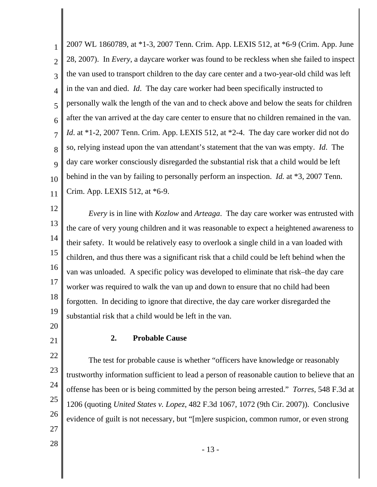1 2 3 4 5 6 7 8 9 10 11 2007 WL 1860789, at \*1-3, 2007 Tenn. Crim. App. LEXIS 512, at \*6-9 (Crim. App. June 28, 2007). In *Every*, a daycare worker was found to be reckless when she failed to inspect the van used to transport children to the day care center and a two-year-old child was left in the van and died. *Id*. The day care worker had been specifically instructed to personally walk the length of the van and to check above and below the seats for children after the van arrived at the day care center to ensure that no children remained in the van. *Id*. at \*1-2, 2007 Tenn. Crim. App. LEXIS 512, at \*2-4. The day care worker did not do so, relying instead upon the van attendant's statement that the van was empty. *Id*. The day care worker consciously disregarded the substantial risk that a child would be left behind in the van by failing to personally perform an inspection. *Id.* at \*3, 2007 Tenn. Crim. App. LEXIS 512, at \*6-9.

12

13 14 15 16 17 18 19 *Every* is in line with *Kozlow* and *Arteaga*. The day care worker was entrusted with the care of very young children and it was reasonable to expect a heightened awareness to their safety. It would be relatively easy to overlook a single child in a van loaded with children, and thus there was a significant risk that a child could be left behind when the van was unloaded. A specific policy was developed to eliminate that risk–the day care worker was required to walk the van up and down to ensure that no child had been forgotten. In deciding to ignore that directive, the day care worker disregarded the substantial risk that a child would be left in the van.

20 21

22

23

24

25

26

## **2. Probable Cause**

The test for probable cause is whether "officers have knowledge or reasonably trustworthy information sufficient to lead a person of reasonable caution to believe that an offense has been or is being committed by the person being arrested." *Torres*, 548 F.3d at 1206 (quoting *United States v. Lopez*, 482 F.3d 1067, 1072 (9th Cir. 2007)). Conclusive evidence of guilt is not necessary, but "[m]ere suspicion, common rumor, or even strong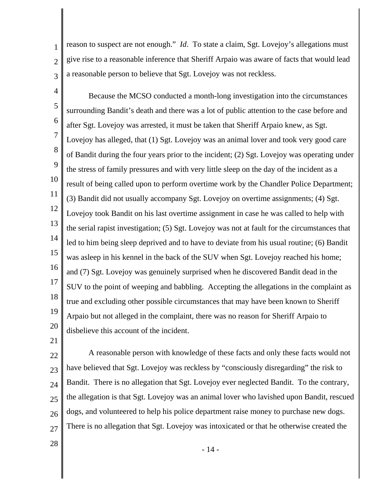reason to suspect are not enough." *Id*. To state a claim, Sgt. Lovejoy's allegations must give rise to a reasonable inference that Sheriff Arpaio was aware of facts that would lead a reasonable person to believe that Sgt. Lovejoy was not reckless.

4 5 6 7 8 9 10 11 12 13 14 15 16 17 18 19 20 Because the MCSO conducted a month-long investigation into the circumstances surrounding Bandit's death and there was a lot of public attention to the case before and after Sgt. Lovejoy was arrested, it must be taken that Sheriff Arpaio knew, as Sgt. Lovejoy has alleged, that (1) Sgt. Lovejoy was an animal lover and took very good care of Bandit during the four years prior to the incident; (2) Sgt. Lovejoy was operating under the stress of family pressures and with very little sleep on the day of the incident as a result of being called upon to perform overtime work by the Chandler Police Department; (3) Bandit did not usually accompany Sgt. Lovejoy on overtime assignments; (4) Sgt. Lovejoy took Bandit on his last overtime assignment in case he was called to help with the serial rapist investigation; (5) Sgt. Lovejoy was not at fault for the circumstances that led to him being sleep deprived and to have to deviate from his usual routine; (6) Bandit was asleep in his kennel in the back of the SUV when Sgt. Lovejoy reached his home; and (7) Sgt. Lovejoy was genuinely surprised when he discovered Bandit dead in the SUV to the point of weeping and babbling. Accepting the allegations in the complaint as true and excluding other possible circumstances that may have been known to Sheriff Arpaio but not alleged in the complaint, there was no reason for Sheriff Arpaio to disbelieve this account of the incident.

21

1

2

3

22 23 24 25 26 27 A reasonable person with knowledge of these facts and only these facts would not have believed that Sgt. Lovejoy was reckless by "consciously disregarding" the risk to Bandit. There is no allegation that Sgt. Lovejoy ever neglected Bandit. To the contrary, the allegation is that Sgt. Lovejoy was an animal lover who lavished upon Bandit, rescued dogs, and volunteered to help his police department raise money to purchase new dogs. There is no allegation that Sgt. Lovejoy was intoxicated or that he otherwise created the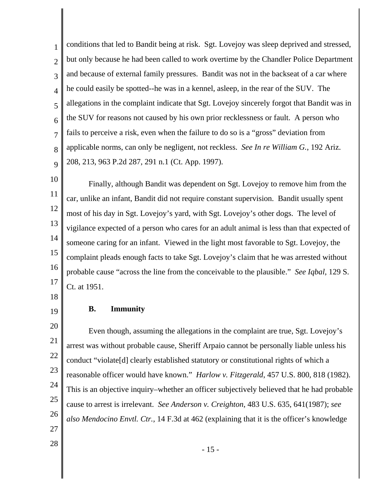1 2 3 4 5 6 7 8 9 conditions that led to Bandit being at risk. Sgt. Lovejoy was sleep deprived and stressed, but only because he had been called to work overtime by the Chandler Police Department and because of external family pressures. Bandit was not in the backseat of a car where he could easily be spotted--he was in a kennel, asleep, in the rear of the SUV. The allegations in the complaint indicate that Sgt. Lovejoy sincerely forgot that Bandit was in the SUV for reasons not caused by his own prior recklessness or fault. A person who fails to perceive a risk, even when the failure to do so is a "gross" deviation from applicable norms, can only be negligent, not reckless. *See In re William G.*, 192 Ariz. 208, 213, 963 P.2d 287, 291 n.1 (Ct. App. 1997).

10

11 12 13 14 15 16 17 Finally, although Bandit was dependent on Sgt. Lovejoy to remove him from the car, unlike an infant, Bandit did not require constant supervision. Bandit usually spent most of his day in Sgt. Lovejoy's yard, with Sgt. Lovejoy's other dogs. The level of vigilance expected of a person who cares for an adult animal is less than that expected of someone caring for an infant. Viewed in the light most favorable to Sgt. Lovejoy, the complaint pleads enough facts to take Sgt. Lovejoy's claim that he was arrested without probable cause "across the line from the conceivable to the plausible." *See Iqbal*, 129 S. Ct. at 1951.

18

19

20

21

22

23

24

25

26

## **B. Immunity**

Even though, assuming the allegations in the complaint are true, Sgt. Lovejoy's arrest was without probable cause, Sheriff Arpaio cannot be personally liable unless his conduct "violate[d] clearly established statutory or constitutional rights of which a reasonable officer would have known." *Harlow v. Fitzgerald*, 457 U.S. 800, 818 (1982). This is an objective inquiry–whether an officer subjectively believed that he had probable cause to arrest is irrelevant. *See Anderson v. Creighton*, 483 U.S. 635, 641(1987); *see also Mendocino Envtl. Ctr.,* 14 F.3d at 462 (explaining that it is the officer's knowledge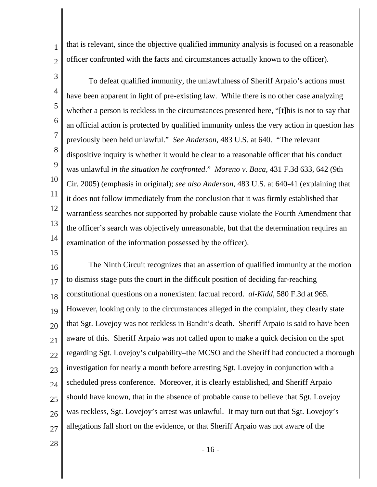that is relevant, since the objective qualified immunity analysis is focused on a reasonable officer confronted with the facts and circumstances actually known to the officer).

3

1

2

4 5 6 7 8 9 10 11 12 13 14 To defeat qualified immunity, the unlawfulness of Sheriff Arpaio's actions must have been apparent in light of pre-existing law. While there is no other case analyzing whether a person is reckless in the circumstances presented here, "[t]his is not to say that an official action is protected by qualified immunity unless the very action in question has previously been held unlawful." *See Anderson,* 483 U.S. at 640. "The relevant dispositive inquiry is whether it would be clear to a reasonable officer that his conduct was unlawful *in the situation he confronted*." *Moreno v. Baca*, 431 F.3d 633, 642 (9th Cir. 2005) (emphasis in original); *see also Anderson,* 483 U.S. at 640-41 (explaining that it does not follow immediately from the conclusion that it was firmly established that warrantless searches not supported by probable cause violate the Fourth Amendment that the officer's search was objectively unreasonable, but that the determination requires an examination of the information possessed by the officer).

15

16 17 18 19 20 21 22 23 24 25 26 27 The Ninth Circuit recognizes that an assertion of qualified immunity at the motion to dismiss stage puts the court in the difficult position of deciding far-reaching constitutional questions on a nonexistent factual record. *al-Kidd,* 580 F.3d at 965. However, looking only to the circumstances alleged in the complaint, they clearly state that Sgt. Lovejoy was not reckless in Bandit's death. Sheriff Arpaio is said to have been aware of this. Sheriff Arpaio was not called upon to make a quick decision on the spot regarding Sgt. Lovejoy's culpability–the MCSO and the Sheriff had conducted a thorough investigation for nearly a month before arresting Sgt. Lovejoy in conjunction with a scheduled press conference. Moreover, it is clearly established, and Sheriff Arpaio should have known, that in the absence of probable cause to believe that Sgt. Lovejoy was reckless, Sgt. Lovejoy's arrest was unlawful. It may turn out that Sgt. Lovejoy's allegations fall short on the evidence, or that Sheriff Arpaio was not aware of the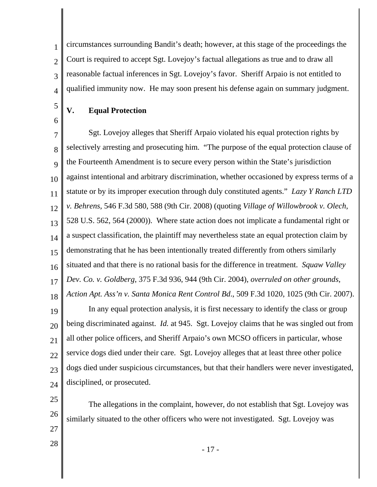2 3 4 circumstances surrounding Bandit's death; however, at this stage of the proceedings the Court is required to accept Sgt. Lovejoy's factual allegations as true and to draw all reasonable factual inferences in Sgt. Lovejoy's favor. Sheriff Arpaio is not entitled to qualified immunity now. He may soon present his defense again on summary judgment.

- **V. Equal Protection**
- 6

25

26

27

28

5

1

7 8  $\overline{Q}$ 10 11 12 13 14 15 16 17 18 Sgt. Lovejoy alleges that Sheriff Arpaio violated his equal protection rights by selectively arresting and prosecuting him. "The purpose of the equal protection clause of the Fourteenth Amendment is to secure every person within the State's jurisdiction against intentional and arbitrary discrimination, whether occasioned by express terms of a statute or by its improper execution through duly constituted agents." *Lazy Y Ranch LTD v. Behrens*, 546 F.3d 580, 588 (9th Cir. 2008) (quoting *Village of Willowbrook v. Olech*, 528 U.S. 562, 564 (2000)). Where state action does not implicate a fundamental right or a suspect classification, the plaintiff may nevertheless state an equal protection claim by demonstrating that he has been intentionally treated differently from others similarly situated and that there is no rational basis for the difference in treatment. *Squaw Valley Dev. Co. v. Goldberg*, 375 F.3d 936, 944 (9th Cir. 2004), *overruled on other grounds*, *Action Apt. Ass'n v. Santa Monica Rent Control Bd*., 509 F.3d 1020, 1025 (9th Cir. 2007).

19 20 21 22  $23$ 24 In any equal protection analysis, it is first necessary to identify the class or group being discriminated against. *Id.* at 945. Sgt. Lovejoy claims that he was singled out from all other police officers, and Sheriff Arpaio's own MCSO officers in particular, whose service dogs died under their care. Sgt. Lovejoy alleges that at least three other police dogs died under suspicious circumstances, but that their handlers were never investigated, disciplined, or prosecuted.

The allegations in the complaint, however, do not establish that Sgt. Lovejoy was similarly situated to the other officers who were not investigated. Sgt. Lovejoy was

- 17 -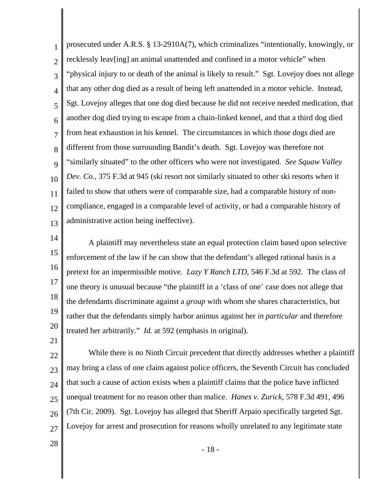1 2 3 4 5 6 7 8 9 10 11 12 13 prosecuted under A.R.S. § 13-2910A(7), which criminalizes "intentionally, knowingly, or recklessly leav[ing] an animal unattended and confined in a motor vehicle" when "physical injury to or death of the animal is likely to result." Sgt. Lovejoy does not allege that any other dog died as a result of being left unattended in a motor vehicle. Instead, Sgt. Lovejoy alleges that one dog died because he did not receive needed medication, that another dog died trying to escape from a chain-linked kennel, and that a third dog died from heat exhaustion in his kennel. The circumstances in which those dogs died are different from those surrounding Bandit's death. Sgt. Lovejoy was therefore not "similarly situated" to the other officers who were not investigated. *See Squaw Valley Dev. Co.,* 375 F.3d at 945 (ski resort not similarly situated to other ski resorts when it failed to show that others were of comparable size, had a comparable history of noncompliance, engaged in a comparable level of activity, or had a comparable history of administrative action being ineffective).

14

15 16 17 18 19 20 A plaintiff may nevertheless state an equal protection claim based upon selective enforcement of the law if he can show that the defendant's alleged rational basis is a pretext for an impermissible motive. *Lazy Y Ranch LTD*, 546 F.3d at 592. The class of one theory is unusual because "the plaintiff in a 'class of one' case does not allege that the defendants discriminate against a *group* with whom she shares characteristics, but rather that the defendants simply harbor animus against her *in particular* and therefore treated her arbitrarily." *Id.* at 592 (emphasis in original).

21

22 23 24 25 26 27 While there is no Ninth Circuit precedent that directly addresses whether a plaintiff may bring a class of one claim against police officers, the Seventh Circuit has concluded that such a cause of action exists when a plaintiff claims that the police have inflicted unequal treatment for no reason other than malice. *Hanes v. Zurick*, 578 F.3d 491, 496 (7th Cir. 2009). Sgt. Lovejoy has alleged that Sheriff Arpaio specifically targeted Sgt. Lovejoy for arrest and prosecution for reasons wholly unrelated to any legitimate state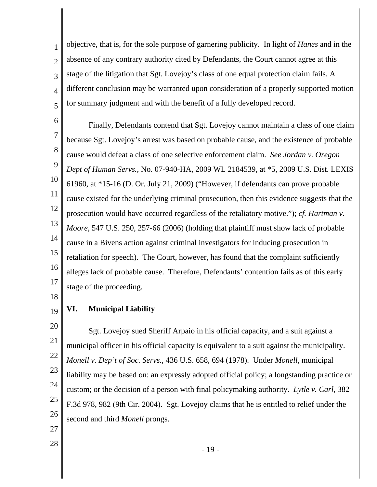1 2 3 4 5 objective, that is, for the sole purpose of garnering publicity. In light of *Hanes* and in the absence of any contrary authority cited by Defendants, the Court cannot agree at this stage of the litigation that Sgt. Lovejoy's class of one equal protection claim fails. A different conclusion may be warranted upon consideration of a properly supported motion for summary judgment and with the benefit of a fully developed record.

6 7 8 9 10 11 12 13 14 15 16 17 Finally, Defendants contend that Sgt. Lovejoy cannot maintain a class of one claim because Sgt. Lovejoy's arrest was based on probable cause, and the existence of probable cause would defeat a class of one selective enforcement claim. *See Jordan v. Oregon Dept of Human Servs.*, No. 07-940-HA, 2009 WL 2184539, at \*5, 2009 U.S. Dist. LEXIS 61960, at \*15-16 (D. Or. July 21, 2009) ("However, if defendants can prove probable cause existed for the underlying criminal prosecution, then this evidence suggests that the prosecution would have occurred regardless of the retaliatory motive."); *cf. Hartman v. Moore*, 547 U.S. 250, 257-66 (2006) (holding that plaintiff must show lack of probable cause in a Bivens action against criminal investigators for inducing prosecution in retaliation for speech). The Court, however, has found that the complaint sufficiently alleges lack of probable cause. Therefore, Defendants' contention fails as of this early stage of the proceeding.

## 18

21

22

23

24

25

19 **VI. Municipal Liability** 

20 26 Sgt. Lovejoy sued Sheriff Arpaio in his official capacity, and a suit against a municipal officer in his official capacity is equivalent to a suit against the municipality. *Monell v. Dep't of Soc. Servs.*, 436 U.S. 658, 694 (1978). Under *Monell*, municipal liability may be based on: an expressly adopted official policy; a longstanding practice or custom; or the decision of a person with final policymaking authority. *Lytle v. Carl*, 382 F.3d 978, 982 (9th Cir. 2004). Sgt. Lovejoy claims that he is entitled to relief under the second and third *Monell* prongs.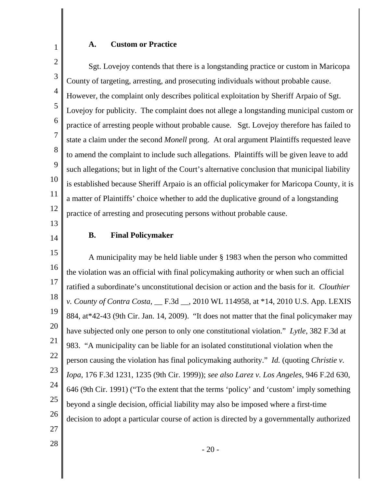## **A. Custom or Practice**

2 3 4 5 6 7 8 9 10 11 12 13 Sgt. Lovejoy contends that there is a longstanding practice or custom in Maricopa County of targeting, arresting, and prosecuting individuals without probable cause. However, the complaint only describes political exploitation by Sheriff Arpaio of Sgt. Lovejoy for publicity. The complaint does not allege a longstanding municipal custom or practice of arresting people without probable cause. Sgt. Lovejoy therefore has failed to state a claim under the second *Monell* prong. At oral argument Plaintiffs requested leave to amend the complaint to include such allegations. Plaintiffs will be given leave to add such allegations; but in light of the Court's alternative conclusion that municipal liability is established because Sheriff Arpaio is an official policymaker for Maricopa County, it is a matter of Plaintiffs' choice whether to add the duplicative ground of a longstanding practice of arresting and prosecuting persons without probable cause.

14

1

## **B. Final Policymaker**

15 16 17 18 19 20 21 22 23 24 25 26 27 A municipality may be held liable under § 1983 when the person who committed the violation was an official with final policymaking authority or when such an official ratified a subordinate's unconstitutional decision or action and the basis for it. *Clouthier v. County of Contra Costa*, \_\_ F.3d \_\_, 2010 WL 114958, at \*14, 2010 U.S. App. LEXIS 884, at\*42-43 (9th Cir. Jan. 14, 2009). "It does not matter that the final policymaker may have subjected only one person to only one constitutional violation." *Lytle*, 382 F.3d at 983. "A municipality can be liable for an isolated constitutional violation when the person causing the violation has final policymaking authority." *Id.* (quoting *Christie v. Iopa*, 176 F.3d 1231, 1235 (9th Cir. 1999)); *see also Larez v. Los Angeles*, 946 F.2d 630, 646 (9th Cir. 1991) ("To the extent that the terms 'policy' and 'custom' imply something beyond a single decision, official liability may also be imposed where a first-time decision to adopt a particular course of action is directed by a governmentally authorized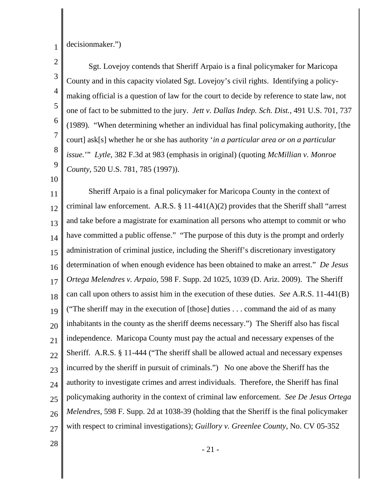1 decisionmaker.")

2 3 4 5 6 7 8 9 Sgt. Lovejoy contends that Sheriff Arpaio is a final policymaker for Maricopa County and in this capacity violated Sgt. Lovejoy's civil rights. Identifying a policymaking official is a question of law for the court to decide by reference to state law, not one of fact to be submitted to the jury. *Jett v. Dallas Indep. Sch. Dist.*, 491 U.S. 701, 737 (1989). "When determining whether an individual has final policymaking authority, [the court] ask[s] whether he or she has authority '*in a particular area or on a particular issue.*'" *Lytle*, 382 F.3d at 983 (emphasis in original) (quoting *McMillian v. Monroe County*, 520 U.S. 781, 785 (1997)).

10

11 12 13 14 15 16 17 18 19 20 21 22 23 24 25 26 27 Sheriff Arpaio is a final policymaker for Maricopa County in the context of criminal law enforcement. A.R.S.  $\S 11-441(A)(2)$  provides that the Sheriff shall "arrest and take before a magistrate for examination all persons who attempt to commit or who have committed a public offense." "The purpose of this duty is the prompt and orderly administration of criminal justice, including the Sheriff's discretionary investigatory determination of when enough evidence has been obtained to make an arrest." *De Jesus Ortega Melendres v. Arpaio*, 598 F. Supp. 2d 1025, 1039 (D. Ariz. 2009). The Sheriff can call upon others to assist him in the execution of these duties. *See* A.R.S. 11-441(B) ("The sheriff may in the execution of [those] duties . . . command the aid of as many inhabitants in the county as the sheriff deems necessary.") The Sheriff also has fiscal independence. Maricopa County must pay the actual and necessary expenses of the Sheriff. A.R.S. § 11-444 ("The sheriff shall be allowed actual and necessary expenses incurred by the sheriff in pursuit of criminals.") No one above the Sheriff has the authority to investigate crimes and arrest individuals. Therefore, the Sheriff has final policymaking authority in the context of criminal law enforcement. *See De Jesus Ortega Melendres,* 598 F. Supp. 2d at 1038-39 (holding that the Sheriff is the final policymaker with respect to criminal investigations); *Guillory v. Greenlee County*, No. CV 05-352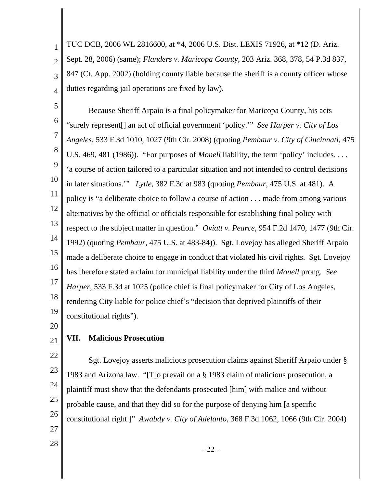1 2 3 4 TUC DCB, 2006 WL 2816600, at \*4, 2006 U.S. Dist. LEXIS 71926, at \*12 (D. Ariz. Sept. 28, 2006) (same); *Flanders v. Maricopa County*, 203 Ariz. 368, 378, 54 P.3d 837, 847 (Ct. App. 2002) (holding county liable because the sheriff is a county officer whose duties regarding jail operations are fixed by law).

5 6 7 8 9 10 11 12 13 14 15 16 17 18 19 Because Sheriff Arpaio is a final policymaker for Maricopa County, his acts "surely represent[] an act of official government 'policy.'" *See Harper v. City of Los Angeles*, 533 F.3d 1010, 1027 (9th Cir. 2008) (quoting *Pembaur v. City of Cincinnati*, 475 U.S. 469, 481 (1986)). "For purposes of *Monell* liability, the term 'policy' includes. . . . 'a course of action tailored to a particular situation and not intended to control decisions in later situations.'" *Lytle*, 382 F.3d at 983 (quoting *Pembaur*, 475 U.S. at 481). A policy is "a deliberate choice to follow a course of action . . . made from among various alternatives by the official or officials responsible for establishing final policy with respect to the subject matter in question." *Oviatt v. Pearce*, 954 F.2d 1470, 1477 (9th Cir. 1992) (quoting *Pembaur*, 475 U.S. at 483-84)). Sgt. Lovejoy has alleged Sheriff Arpaio made a deliberate choice to engage in conduct that violated his civil rights. Sgt. Lovejoy has therefore stated a claim for municipal liability under the third *Monell* prong. *See Harper*, 533 F.3d at 1025 (police chief is final policymaker for City of Los Angeles, rendering City liable for police chief's "decision that deprived plaintiffs of their constitutional rights").

20

#### 21 **VII. Malicious Prosecution**

22 23 24 26 27 Sgt. Lovejoy asserts malicious prosecution claims against Sheriff Arpaio under § 1983 and Arizona law. "[T]o prevail on a § 1983 claim of malicious prosecution, a plaintiff must show that the defendants prosecuted [him] with malice and without probable cause, and that they did so for the purpose of denying him [a specific constitutional right.]" *Awabdy v. City of Adelanto*, 368 F.3d 1062, 1066 (9th Cir. 2004)

28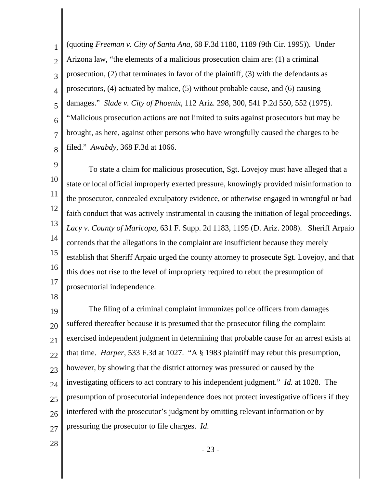1 2 3 4 5 6 7 8 (quoting *Freeman v. City of Santa Ana*, 68 F.3d 1180, 1189 (9th Cir. 1995)). Under Arizona law, "the elements of a malicious prosecution claim are: (1) a criminal prosecution, (2) that terminates in favor of the plaintiff, (3) with the defendants as prosecutors, (4) actuated by malice, (5) without probable cause, and (6) causing damages." *Slade v. City of Phoenix*, 112 Ariz. 298, 300, 541 P.2d 550, 552 (1975). "Malicious prosecution actions are not limited to suits against prosecutors but may be brought, as here, against other persons who have wrongfully caused the charges to be filed." *Awabdy*, 368 F.3d at 1066.

9 10 11 12 13 14 15 16 17 To state a claim for malicious prosecution, Sgt. Lovejoy must have alleged that a state or local official improperly exerted pressure, knowingly provided misinformation to the prosecutor, concealed exculpatory evidence, or otherwise engaged in wrongful or bad faith conduct that was actively instrumental in causing the initiation of legal proceedings. *Lacy v. County of Maricopa,* 631 F. Supp. 2d 1183, 1195 (D. Ariz. 2008). Sheriff Arpaio contends that the allegations in the complaint are insufficient because they merely establish that Sheriff Arpaio urged the county attorney to prosecute Sgt. Lovejoy, and that this does not rise to the level of impropriety required to rebut the presumption of prosecutorial independence.

18

19 20 21 22 23 24 25 26 27 The filing of a criminal complaint immunizes police officers from damages suffered thereafter because it is presumed that the prosecutor filing the complaint exercised independent judgment in determining that probable cause for an arrest exists at that time. *Harper*, 533 F.3d at 1027. "A § 1983 plaintiff may rebut this presumption, however, by showing that the district attorney was pressured or caused by the investigating officers to act contrary to his independent judgment." *Id.* at 1028. The presumption of prosecutorial independence does not protect investigative officers if they interfered with the prosecutor's judgment by omitting relevant information or by pressuring the prosecutor to file charges. *Id*.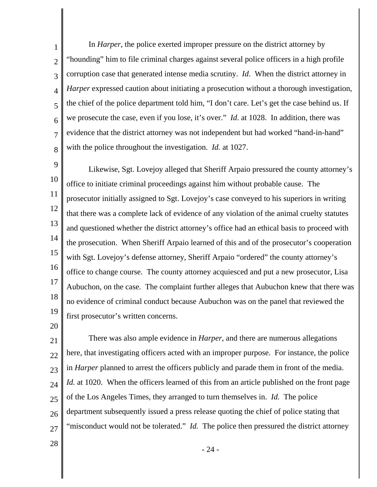1 2 3 4 5 6 7 8 In *Harper*, the police exerted improper pressure on the district attorney by "hounding" him to file criminal charges against several police officers in a high profile corruption case that generated intense media scrutiny. *Id*. When the district attorney in *Harper* expressed caution about initiating a prosecution without a thorough investigation, the chief of the police department told him, "I don't care. Let's get the case behind us. If we prosecute the case, even if you lose, it's over." *Id*. at 1028. In addition, there was evidence that the district attorney was not independent but had worked "hand-in-hand" with the police throughout the investigation. *Id.* at 1027.

9 10 11 12 13 14 15 16 17 18 19 Likewise, Sgt. Lovejoy alleged that Sheriff Arpaio pressured the county attorney's office to initiate criminal proceedings against him without probable cause. The prosecutor initially assigned to Sgt. Lovejoy's case conveyed to his superiors in writing that there was a complete lack of evidence of any violation of the animal cruelty statutes and questioned whether the district attorney's office had an ethical basis to proceed with the prosecution. When Sheriff Arpaio learned of this and of the prosecutor's cooperation with Sgt. Lovejoy's defense attorney, Sheriff Arpaio "ordered" the county attorney's office to change course. The county attorney acquiesced and put a new prosecutor, Lisa Aubuchon, on the case. The complaint further alleges that Aubuchon knew that there was no evidence of criminal conduct because Aubuchon was on the panel that reviewed the first prosecutor's written concerns.

20

21 22 23 24 25 26 27 There was also ample evidence in *Harper*, and there are numerous allegations here, that investigating officers acted with an improper purpose. For instance, the police in *Harper* planned to arrest the officers publicly and parade them in front of the media. *Id.* at 1020. When the officers learned of this from an article published on the front page of the Los Angeles Times, they arranged to turn themselves in. *Id.* The police department subsequently issued a press release quoting the chief of police stating that "misconduct would not be tolerated." *Id.* The police then pressured the district attorney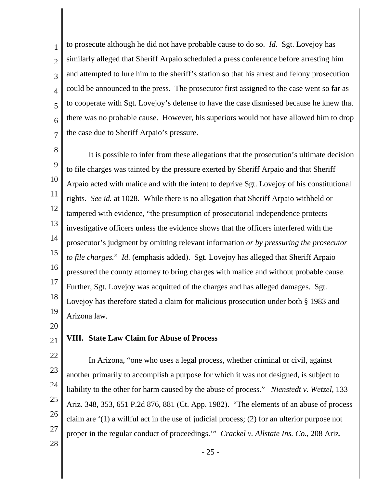1 2 3 4 5 6 7 to prosecute although he did not have probable cause to do so. *Id.* Sgt. Lovejoy has similarly alleged that Sheriff Arpaio scheduled a press conference before arresting him and attempted to lure him to the sheriff's station so that his arrest and felony prosecution could be announced to the press. The prosecutor first assigned to the case went so far as to cooperate with Sgt. Lovejoy's defense to have the case dismissed because he knew that there was no probable cause. However, his superiors would not have allowed him to drop the case due to Sheriff Arpaio's pressure.

8 9 10 11 12 13 14 15 16 17 18 19 It is possible to infer from these allegations that the prosecution's ultimate decision to file charges was tainted by the pressure exerted by Sheriff Arpaio and that Sheriff Arpaio acted with malice and with the intent to deprive Sgt. Lovejoy of his constitutional rights. *See id.* at 1028. While there is no allegation that Sheriff Arpaio withheld or tampered with evidence, "the presumption of prosecutorial independence protects investigative officers unless the evidence shows that the officers interfered with the prosecutor's judgment by omitting relevant information *or by pressuring the prosecutor to file charges.*" *Id.* (emphasis added). Sgt. Lovejoy has alleged that Sheriff Arpaio pressured the county attorney to bring charges with malice and without probable cause. Further, Sgt. Lovejoy was acquitted of the charges and has alleged damages. Sgt. Lovejoy has therefore stated a claim for malicious prosecution under both § 1983 and Arizona law.

20

#### 21 **VIII. State Law Claim for Abuse of Process**

22 23 24 25 26 27 28 In Arizona, "one who uses a legal process, whether criminal or civil, against another primarily to accomplish a purpose for which it was not designed, is subject to liability to the other for harm caused by the abuse of process." *Nienstedt v. Wetzel*, 133 Ariz. 348, 353, 651 P.2d 876, 881 (Ct. App. 1982). "The elements of an abuse of process claim are '(1) a willful act in the use of judicial process; (2) for an ulterior purpose not proper in the regular conduct of proceedings.'" *Crackel v. Allstate Ins. Co.*, 208 Ariz.

- 25 -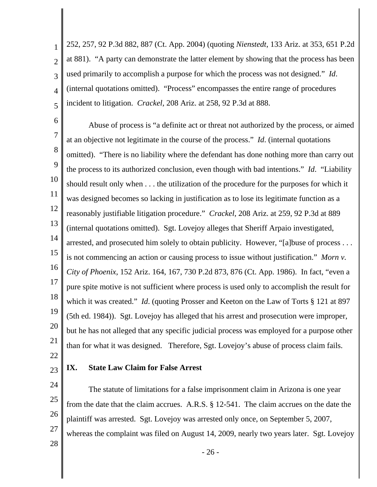1 2 3 4 5 252, 257, 92 P.3d 882, 887 (Ct. App. 2004) (quoting *Nienstedt*, 133 Ariz. at 353, 651 P.2d at 881). "A party can demonstrate the latter element by showing that the process has been used primarily to accomplish a purpose for which the process was not designed." *Id*. (internal quotations omitted). "Process" encompasses the entire range of procedures incident to litigation. *Crackel*, 208 Ariz. at 258, 92 P.3d at 888.

6

7 8 9 10 11 12 13 14 15 16 17 18 19 20 21 Abuse of process is "a definite act or threat not authorized by the process, or aimed at an objective not legitimate in the course of the process." *Id*. (internal quotations omitted). "There is no liability where the defendant has done nothing more than carry out the process to its authorized conclusion, even though with bad intentions." *Id*. "Liability should result only when . . . the utilization of the procedure for the purposes for which it was designed becomes so lacking in justification as to lose its legitimate function as a reasonably justifiable litigation procedure." *Crackel*, 208 Ariz. at 259, 92 P.3d at 889 (internal quotations omitted). Sgt. Lovejoy alleges that Sheriff Arpaio investigated, arrested, and prosecuted him solely to obtain publicity. However, "[a]buse of process . . . is not commencing an action or causing process to issue without justification." *Morn v. City of Phoenix*, 152 Ariz. 164, 167, 730 P.2d 873, 876 (Ct. App. 1986). In fact, "even a pure spite motive is not sufficient where process is used only to accomplish the result for which it was created." *Id*. (quoting Prosser and Keeton on the Law of Torts § 121 at 897 (5th ed. 1984)). Sgt. Lovejoy has alleged that his arrest and prosecution were improper, but he has not alleged that any specific judicial process was employed for a purpose other than for what it was designed. Therefore, Sgt. Lovejoy's abuse of process claim fails.

22 23

## **IX. State Law Claim for False Arrest**

24 25 26 27 28 The statute of limitations for a false imprisonment claim in Arizona is one year from the date that the claim accrues. A.R.S. § 12-541. The claim accrues on the date the plaintiff was arrested. Sgt. Lovejoy was arrested only once, on September 5, 2007, whereas the complaint was filed on August 14, 2009, nearly two years later. Sgt. Lovejoy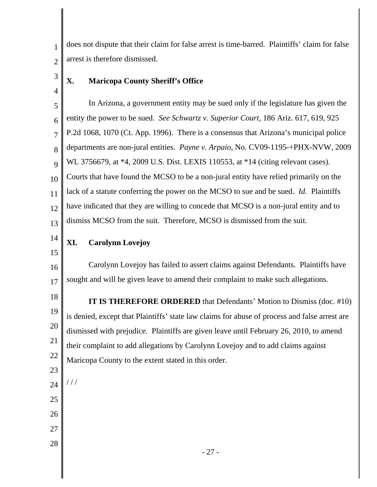does not dispute that their claim for false arrest is time-barred. Plaintiffs' claim for false arrest is therefore dismissed.

3

4

1

2

# **X. Maricopa County Sheriff's Office**

5 6 7 8 9 10 11 12 13 In Arizona, a government entity may be sued only if the legislature has given the entity the power to be sued. *See Schwartz v. Superior Court*, 186 Ariz. 617, 619, 925 P.2d 1068, 1070 (Ct. App. 1996). There is a consensus that Arizona's municipal police departments are non-jural entities. *Payne v. Arpaio*, No. CV09-1195-+PHX-NVW, 2009 WL 3756679, at \*4, 2009 U.S. Dist. LEXIS 110553, at \*14 (citing relevant cases). Courts that have found the MCSO to be a non-jural entity have relied primarily on the lack of a statute conferring the power on the MCSO to sue and be sued. *Id.* Plaintiffs have indicated that they are willing to concede that MCSO is a non-jural entity and to dismiss MCSO from the suit. Therefore, MCSO is dismissed from the suit.

14 **XI. Carolynn Lovejoy**

15 16

17

23

24

/ / /

25

26

27

28

Carolynn Lovejoy has failed to assert claims against Defendants. Plaintiffs have sought and will be given leave to amend their complaint to make such allegations.

18 19 20 21 22 **IT IS THEREFORE ORDERED** that Defendants' Motion to Dismiss (doc. #10) is denied, except that Plaintiffs' state law claims for abuse of process and false arrest are dismissed with prejudice. Plaintiffs are given leave until February 26, 2010, to amend their complaint to add allegations by Carolynn Lovejoy and to add claims against Maricopa County to the extent stated in this order.